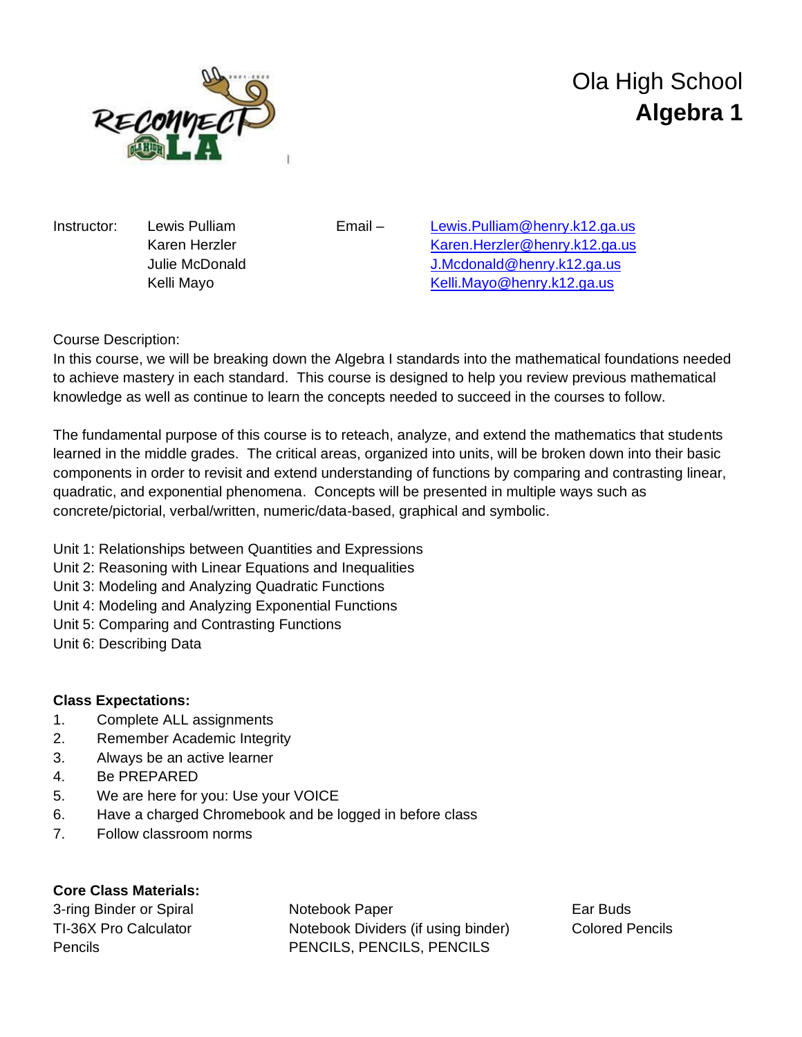

# Ola High School **Algebra 1**

Instructor: Lewis Pulliam Email – [Lewis.Pulliam@henry.k12.ga.us](mailto:Lewis.Pulliam@henry.k12.ga.us) Karen Herzler [Karen.Herzler@henry.k12.ga.us](mailto:Karen.Herzler@henry.k12.ga.us) Julie McDonald [J.Mcdonald@henry.k12.ga.us](mailto:J.Mcdonald@henry.k12.ga.us) Kelli Mayo **[Kelli.Mayo@henry.k12.ga.us](mailto:Kelli.Mayo@henry.k12.ga.us)** 

## Course Description:

In this course, we will be breaking down the Algebra I standards into the mathematical foundations needed to achieve mastery in each standard. This course is designed to help you review previous mathematical knowledge as well as continue to learn the concepts needed to succeed in the courses to follow.

The fundamental purpose of this course is to reteach, analyze, and extend the mathematics that students learned in the middle grades. The critical areas, organized into units, will be broken down into their basic components in order to revisit and extend understanding of functions by comparing and contrasting linear, quadratic, and exponential phenomena. Concepts will be presented in multiple ways such as concrete/pictorial, verbal/written, numeric/data-based, graphical and symbolic.

Unit 1: Relationships between Quantities and Expressions

- Unit 2: Reasoning with Linear Equations and Inequalities
- Unit 3: Modeling and Analyzing Quadratic Functions
- Unit 4: Modeling and Analyzing Exponential Functions
- Unit 5: Comparing and Contrasting Functions
- Unit 6: Describing Data

### **Class Expectations:**

- 1. Complete ALL assignments
- 2. Remember Academic Integrity
- 3. Always be an active learner
- 4. Be PREPARED
- 5. We are here for you: Use your VOICE
- 6. Have a charged Chromebook and be logged in before class
- 7. Follow classroom norms

### **Core Class Materials:**

3-ring Binder or Spiral **Notebook Paper Ear Buds** TI-36X Pro Calculator **Notebook Dividers (if using binder)** Colored Pencils Pencils PENCILS, PENCILS, PENCILS